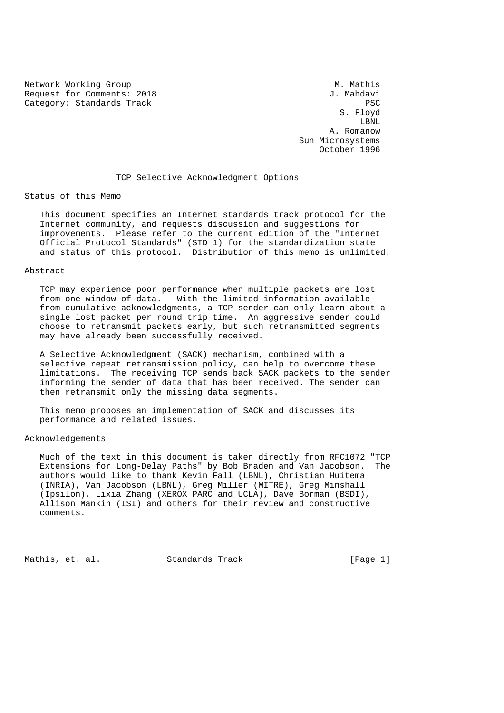Network Working Group Methods and Museum M. Mathis Request for Comments: 2018 3. Mahdavi Category: Standards Track PSC

 S. Floyd LBNL A. Romanow Sun Microsystems October 1996

#### TCP Selective Acknowledgment Options

### Status of this Memo

 This document specifies an Internet standards track protocol for the Internet community, and requests discussion and suggestions for improvements. Please refer to the current edition of the "Internet Official Protocol Standards" (STD 1) for the standardization state and status of this protocol. Distribution of this memo is unlimited.

# Abstract

 TCP may experience poor performance when multiple packets are lost from one window of data. With the limited information available from cumulative acknowledgments, a TCP sender can only learn about a single lost packet per round trip time. An aggressive sender could choose to retransmit packets early, but such retransmitted segments may have already been successfully received.

 A Selective Acknowledgment (SACK) mechanism, combined with a selective repeat retransmission policy, can help to overcome these limitations. The receiving TCP sends back SACK packets to the sender informing the sender of data that has been received. The sender can then retransmit only the missing data segments.

 This memo proposes an implementation of SACK and discusses its performance and related issues.

### Acknowledgements

 Much of the text in this document is taken directly from RFC1072 "TCP Extensions for Long-Delay Paths" by Bob Braden and Van Jacobson. The authors would like to thank Kevin Fall (LBNL), Christian Huitema (INRIA), Van Jacobson (LBNL), Greg Miller (MITRE), Greg Minshall (Ipsilon), Lixia Zhang (XEROX PARC and UCLA), Dave Borman (BSDI), Allison Mankin (ISI) and others for their review and constructive comments.

Mathis, et. al. Standards Track [Page 1]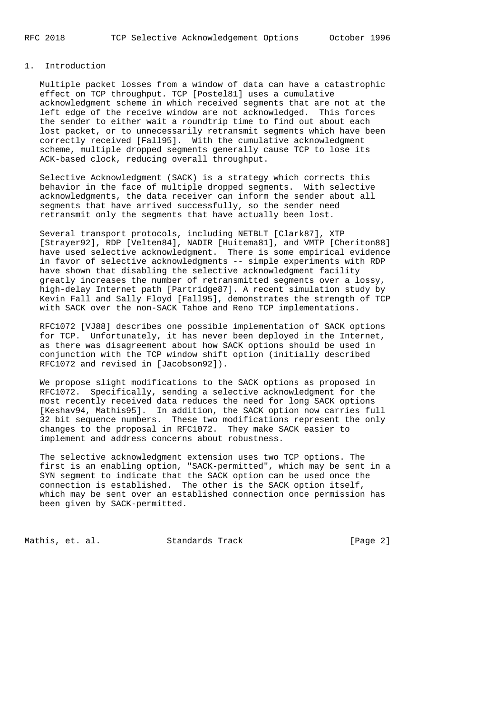### 1. Introduction

 Multiple packet losses from a window of data can have a catastrophic effect on TCP throughput. TCP [Postel81] uses a cumulative acknowledgment scheme in which received segments that are not at the left edge of the receive window are not acknowledged. This forces the sender to either wait a roundtrip time to find out about each lost packet, or to unnecessarily retransmit segments which have been correctly received [Fall95]. With the cumulative acknowledgment scheme, multiple dropped segments generally cause TCP to lose its ACK-based clock, reducing overall throughput.

 Selective Acknowledgment (SACK) is a strategy which corrects this behavior in the face of multiple dropped segments. With selective acknowledgments, the data receiver can inform the sender about all segments that have arrived successfully, so the sender need retransmit only the segments that have actually been lost.

 Several transport protocols, including NETBLT [Clark87], XTP [Strayer92], RDP [Velten84], NADIR [Huitema81], and VMTP [Cheriton88] have used selective acknowledgment. There is some empirical evidence in favor of selective acknowledgments -- simple experiments with RDP have shown that disabling the selective acknowledgment facility greatly increases the number of retransmitted segments over a lossy, high-delay Internet path [Partridge87]. A recent simulation study by Kevin Fall and Sally Floyd [Fall95], demonstrates the strength of TCP with SACK over the non-SACK Tahoe and Reno TCP implementations.

 RFC1072 [VJ88] describes one possible implementation of SACK options for TCP. Unfortunately, it has never been deployed in the Internet, as there was disagreement about how SACK options should be used in conjunction with the TCP window shift option (initially described RFC1072 and revised in [Jacobson92]).

 We propose slight modifications to the SACK options as proposed in RFC1072. Specifically, sending a selective acknowledgment for the most recently received data reduces the need for long SACK options [Keshav94, Mathis95]. In addition, the SACK option now carries full 32 bit sequence numbers. These two modifications represent the only changes to the proposal in RFC1072. They make SACK easier to implement and address concerns about robustness.

 The selective acknowledgment extension uses two TCP options. The first is an enabling option, "SACK-permitted", which may be sent in a SYN segment to indicate that the SACK option can be used once the connection is established. The other is the SACK option itself, which may be sent over an established connection once permission has been given by SACK-permitted.

Mathis, et. al. Standards Track [Page 2]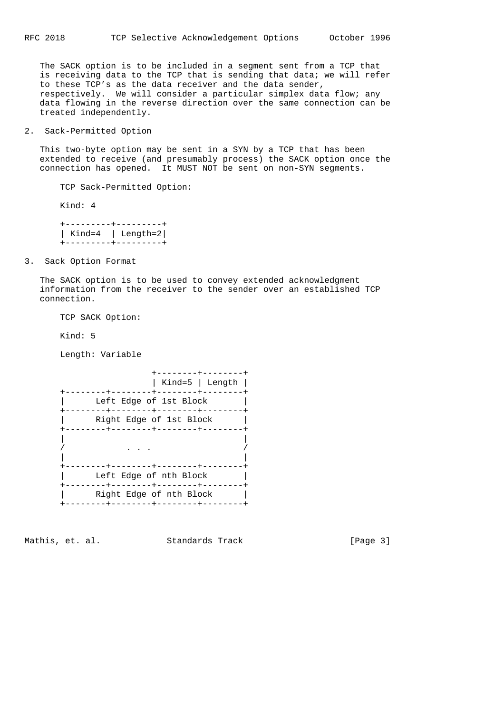The SACK option is to be included in a segment sent from a TCP that is receiving data to the TCP that is sending that data; we will refer to these TCP's as the data receiver and the data sender, respectively. We will consider a particular simplex data flow; any data flowing in the reverse direction over the same connection can be treated independently.

2. Sack-Permitted Option

 This two-byte option may be sent in a SYN by a TCP that has been extended to receive (and presumably process) the SACK option once the connection has opened. It MUST NOT be sent on non-SYN segments.

TCP Sack-Permitted Option:

Kind: 4

 +---------+---------+ | Kind=4 | Length=2| +---------+---------+

3. Sack Option Format

 The SACK option is to be used to convey extended acknowledgment information from the receiver to the sender over an established TCP connection.

TCP SACK Option:

Kind: 5

Length: Variable

 +--------+--------+ | Kind=5 | Length | +--------+--------+--------+--------+ | Left Edge of 1st Block | +--------+--------+--------+--------+ | Right Edge of 1st Block | +--------+--------+--------+--------+ | | / . . . / | | +--------+--------+--------+--------+ | Left Edge of nth Block | +--------+--------+--------+--------+ | Right Edge of nth Block | +--------+--------+--------+--------+

Mathis, et. al. Standards Track [Page 3]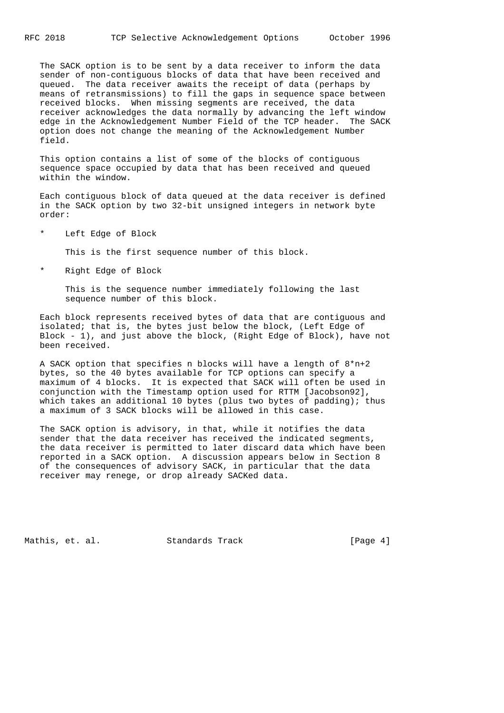The SACK option is to be sent by a data receiver to inform the data sender of non-contiguous blocks of data that have been received and queued. The data receiver awaits the receipt of data (perhaps by means of retransmissions) to fill the gaps in sequence space between received blocks. When missing segments are received, the data receiver acknowledges the data normally by advancing the left window edge in the Acknowledgement Number Field of the TCP header. The SACK option does not change the meaning of the Acknowledgement Number field.

 This option contains a list of some of the blocks of contiguous sequence space occupied by data that has been received and queued within the window.

 Each contiguous block of data queued at the data receiver is defined in the SACK option by two 32-bit unsigned integers in network byte order:

\* Left Edge of Block

This is the first sequence number of this block.

\* Right Edge of Block

 This is the sequence number immediately following the last sequence number of this block.

 Each block represents received bytes of data that are contiguous and isolated; that is, the bytes just below the block, (Left Edge of Block - 1), and just above the block, (Right Edge of Block), have not been received.

 A SACK option that specifies n blocks will have a length of 8\*n+2 bytes, so the 40 bytes available for TCP options can specify a maximum of 4 blocks. It is expected that SACK will often be used in conjunction with the Timestamp option used for RTTM [Jacobson92], which takes an additional 10 bytes (plus two bytes of padding); thus a maximum of 3 SACK blocks will be allowed in this case.

 The SACK option is advisory, in that, while it notifies the data sender that the data receiver has received the indicated segments, the data receiver is permitted to later discard data which have been reported in a SACK option. A discussion appears below in Section 8 of the consequences of advisory SACK, in particular that the data receiver may renege, or drop already SACKed data.

Mathis, et. al. Standards Track [Page 4]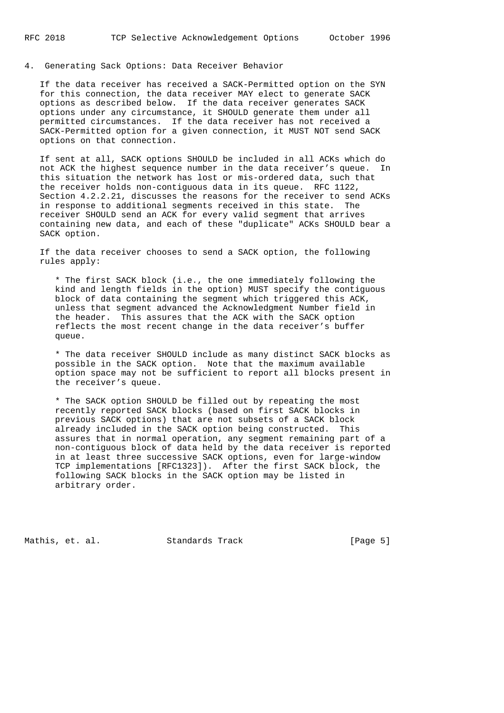4. Generating Sack Options: Data Receiver Behavior

 If the data receiver has received a SACK-Permitted option on the SYN for this connection, the data receiver MAY elect to generate SACK options as described below. If the data receiver generates SACK options under any circumstance, it SHOULD generate them under all permitted circumstances. If the data receiver has not received a SACK-Permitted option for a given connection, it MUST NOT send SACK options on that connection.

 If sent at all, SACK options SHOULD be included in all ACKs which do not ACK the highest sequence number in the data receiver's queue. In this situation the network has lost or mis-ordered data, such that the receiver holds non-contiguous data in its queue. RFC 1122, Section 4.2.2.21, discusses the reasons for the receiver to send ACKs in response to additional segments received in this state. The receiver SHOULD send an ACK for every valid segment that arrives containing new data, and each of these "duplicate" ACKs SHOULD bear a SACK option.

 If the data receiver chooses to send a SACK option, the following rules apply:

 \* The first SACK block (i.e., the one immediately following the kind and length fields in the option) MUST specify the contiguous block of data containing the segment which triggered this ACK, unless that segment advanced the Acknowledgment Number field in the header. This assures that the ACK with the SACK option reflects the most recent change in the data receiver's buffer queue.

 \* The data receiver SHOULD include as many distinct SACK blocks as possible in the SACK option. Note that the maximum available option space may not be sufficient to report all blocks present in the receiver's queue.

 \* The SACK option SHOULD be filled out by repeating the most recently reported SACK blocks (based on first SACK blocks in previous SACK options) that are not subsets of a SACK block already included in the SACK option being constructed. This assures that in normal operation, any segment remaining part of a non-contiguous block of data held by the data receiver is reported in at least three successive SACK options, even for large-window TCP implementations [RFC1323]). After the first SACK block, the following SACK blocks in the SACK option may be listed in arbitrary order.

Mathis, et. al. Standards Track [Page 5]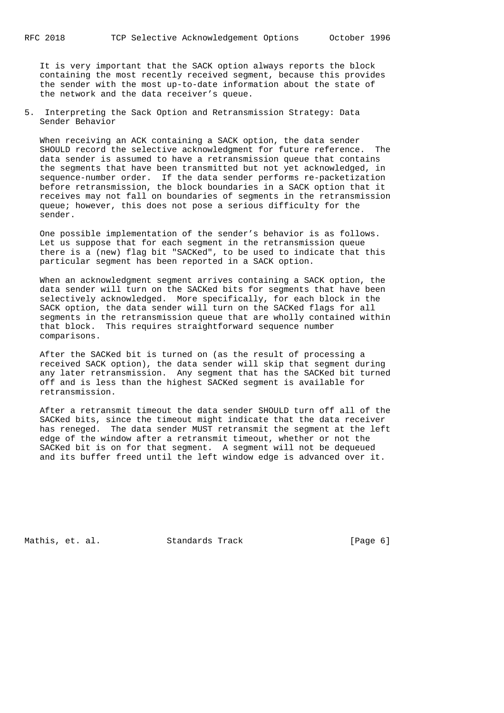It is very important that the SACK option always reports the block containing the most recently received segment, because this provides the sender with the most up-to-date information about the state of the network and the data receiver's queue.

5. Interpreting the Sack Option and Retransmission Strategy: Data Sender Behavior

 When receiving an ACK containing a SACK option, the data sender SHOULD record the selective acknowledgment for future reference. The data sender is assumed to have a retransmission queue that contains the segments that have been transmitted but not yet acknowledged, in sequence-number order. If the data sender performs re-packetization before retransmission, the block boundaries in a SACK option that it receives may not fall on boundaries of segments in the retransmission queue; however, this does not pose a serious difficulty for the sender.

 One possible implementation of the sender's behavior is as follows. Let us suppose that for each segment in the retransmission queue there is a (new) flag bit "SACKed", to be used to indicate that this particular segment has been reported in a SACK option.

 When an acknowledgment segment arrives containing a SACK option, the data sender will turn on the SACKed bits for segments that have been selectively acknowledged. More specifically, for each block in the SACK option, the data sender will turn on the SACKed flags for all segments in the retransmission queue that are wholly contained within that block. This requires straightforward sequence number comparisons.

 After the SACKed bit is turned on (as the result of processing a received SACK option), the data sender will skip that segment during any later retransmission. Any segment that has the SACKed bit turned off and is less than the highest SACKed segment is available for retransmission.

 After a retransmit timeout the data sender SHOULD turn off all of the SACKed bits, since the timeout might indicate that the data receiver has reneged. The data sender MUST retransmit the segment at the left edge of the window after a retransmit timeout, whether or not the SACKed bit is on for that segment. A segment will not be dequeued and its buffer freed until the left window edge is advanced over it.

Mathis, et. al. Standards Track [Page 6]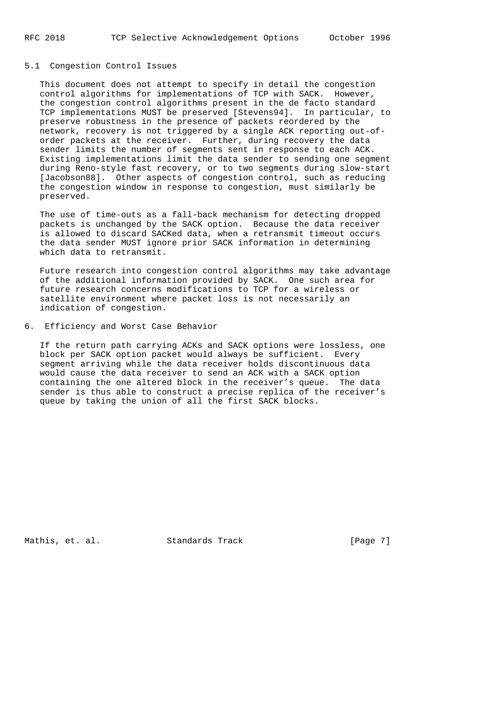#### 5.1 Congestion Control Issues

 This document does not attempt to specify in detail the congestion control algorithms for implementations of TCP with SACK. However, the congestion control algorithms present in the de facto standard TCP implementations MUST be preserved [Stevens94]. In particular, to preserve robustness in the presence of packets reordered by the network, recovery is not triggered by a single ACK reporting out-of order packets at the receiver. Further, during recovery the data sender limits the number of segments sent in response to each ACK. Existing implementations limit the data sender to sending one segment during Reno-style fast recovery, or to two segments during slow-start [Jacobson88]. Other aspects of congestion control, such as reducing the congestion window in response to congestion, must similarly be preserved.

 The use of time-outs as a fall-back mechanism for detecting dropped packets is unchanged by the SACK option. Because the data receiver is allowed to discard SACKed data, when a retransmit timeout occurs the data sender MUST ignore prior SACK information in determining which data to retransmit.

 Future research into congestion control algorithms may take advantage of the additional information provided by SACK. One such area for future research concerns modifications to TCP for a wireless or satellite environment where packet loss is not necessarily an indication of congestion.

## 6. Efficiency and Worst Case Behavior

 If the return path carrying ACKs and SACK options were lossless, one block per SACK option packet would always be sufficient. Every segment arriving while the data receiver holds discontinuous data would cause the data receiver to send an ACK with a SACK option containing the one altered block in the receiver's queue. The data sender is thus able to construct a precise replica of the receiver's queue by taking the union of all the first SACK blocks.

Mathis, et. al. Standards Track [Page 7]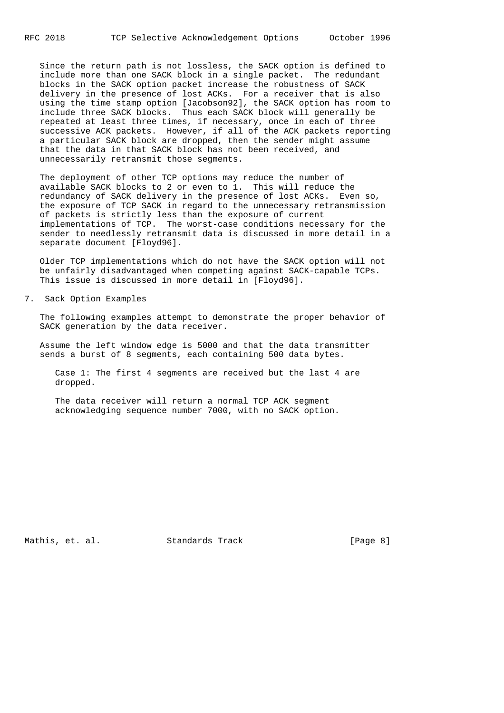Since the return path is not lossless, the SACK option is defined to include more than one SACK block in a single packet. The redundant blocks in the SACK option packet increase the robustness of SACK delivery in the presence of lost ACKs. For a receiver that is also using the time stamp option [Jacobson92], the SACK option has room to include three SACK blocks. Thus each SACK block will generally be repeated at least three times, if necessary, once in each of three successive ACK packets. However, if all of the ACK packets reporting a particular SACK block are dropped, then the sender might assume that the data in that SACK block has not been received, and unnecessarily retransmit those segments.

 The deployment of other TCP options may reduce the number of available SACK blocks to 2 or even to 1. This will reduce the redundancy of SACK delivery in the presence of lost ACKs. Even so, the exposure of TCP SACK in regard to the unnecessary retransmission of packets is strictly less than the exposure of current implementations of TCP. The worst-case conditions necessary for the sender to needlessly retransmit data is discussed in more detail in a separate document [Floyd96].

 Older TCP implementations which do not have the SACK option will not be unfairly disadvantaged when competing against SACK-capable TCPs. This issue is discussed in more detail in [Floyd96].

7. Sack Option Examples

 The following examples attempt to demonstrate the proper behavior of SACK generation by the data receiver.

 Assume the left window edge is 5000 and that the data transmitter sends a burst of 8 segments, each containing 500 data bytes.

 Case 1: The first 4 segments are received but the last 4 are dropped.

 The data receiver will return a normal TCP ACK segment acknowledging sequence number 7000, with no SACK option.

Mathis, et. al. Standards Track [Page 8]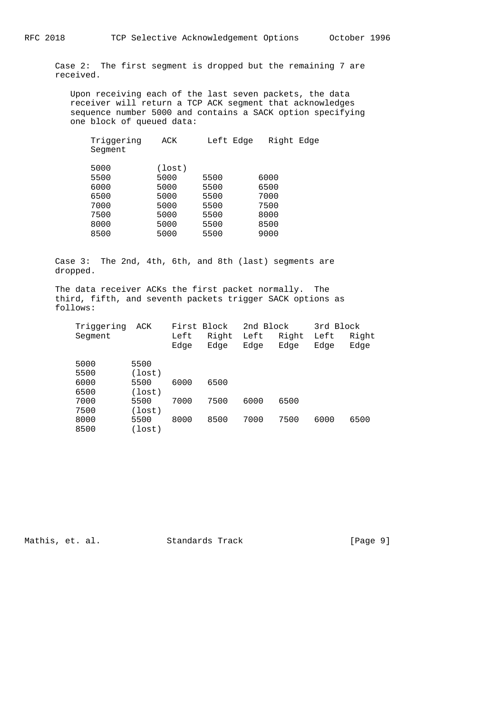Case 2: The first segment is dropped but the remaining 7 are received.

 Upon receiving each of the last seven packets, the data receiver will return a TCP ACK segment that acknowledges sequence number 5000 and contains a SACK option specifying one block of queued data:

| Triggering<br>Segment | ACK    | Left Edge | Right Edge |
|-----------------------|--------|-----------|------------|
| 5000                  | (lost) |           |            |
| 5500                  | 5000   | 5500      | 6000       |
| 6000                  | 5000   | 5500      | 6500       |
| 6500                  | 5000   | 5500      | 7000       |
| 7000                  | 5000   | 5500      | 7500       |
| 7500                  | 5000   | 5500      | 8000       |
| 8000                  | 5000   | 5500      | 8500       |
| 8500                  | 5000   | 5500      | 9000       |
|                       |        |           |            |

 Case 3: The 2nd, 4th, 6th, and 8th (last) segments are dropped.

 The data receiver ACKs the first packet normally. The third, fifth, and seventh packets trigger SACK options as follows:

| Triggering |        | First Block |       | 2nd Block |       | 3rd Block |       |
|------------|--------|-------------|-------|-----------|-------|-----------|-------|
| Segment    |        | Left        | Right | Left      | Right | Left      | Right |
|            |        | Edge        | Edge  | Edge      | Edge  | Edge      | Edge  |
|            |        |             |       |           |       |           |       |
| 5000       | 5500   |             |       |           |       |           |       |
| 5500       | (lost) |             |       |           |       |           |       |
| 6000       | 5500   | 6000        | 6500  |           |       |           |       |
| 6500       | (lost) |             |       |           |       |           |       |
| 7000       | 5500   | 7000        | 7500  | 6000      | 6500  |           |       |
| 7500       | (lost) |             |       |           |       |           |       |
| 8000       | 5500   | 8000        | 8500  | 7000      | 7500  | 6000      | 6500  |
| 8500       | (lost) |             |       |           |       |           |       |
|            |        |             |       |           |       |           |       |

Mathis, et. al. Standards Track [Page 9]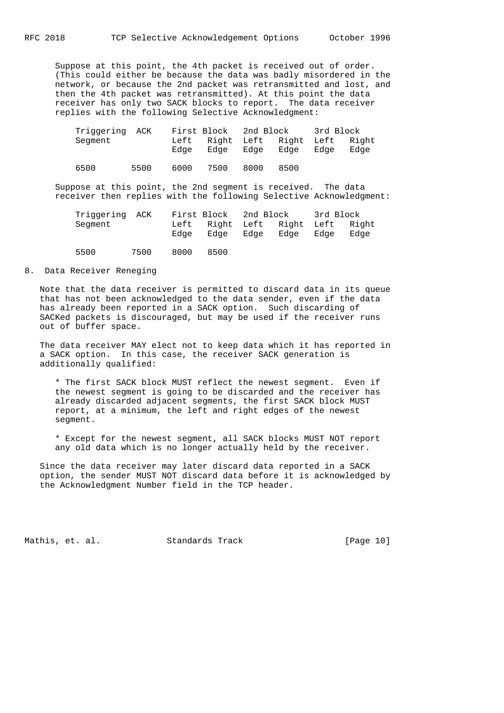Suppose at this point, the 4th packet is received out of order. (This could either be because the data was badly misordered in the network, or because the 2nd packet was retransmitted and lost, and then the 4th packet was retransmitted). At this point the data receiver has only two SACK blocks to report. The data receiver replies with the following Selective Acknowledgment:

| Triggering ACK |      | First Block 2nd Block |      |      |                                     | 3rd Block |      |
|----------------|------|-----------------------|------|------|-------------------------------------|-----------|------|
| Segment        |      | Left<br>Edae          | Edae | Edae | Right Left Right Left Right<br>Edae | Edae      | Edae |
| 6500           | 5500 | 6000                  | 7500 | 8000 | 8500                                |           |      |

 Suppose at this point, the 2nd segment is received. The data receiver then replies with the following Selective Acknowledgment:

| Triggering ACK |      | First Block 2nd Block |                                          |      |      | 3rd Block |      |
|----------------|------|-----------------------|------------------------------------------|------|------|-----------|------|
| Segment        |      | Edae                  | Left Right Left Right Left Right<br>Edae | Edae | Edae | Edae      | Edae |
| 5500           | 7500 | 8000                  | 8500                                     |      |      |           |      |

#### 8. Data Receiver Reneging

 Note that the data receiver is permitted to discard data in its queue that has not been acknowledged to the data sender, even if the data has already been reported in a SACK option. Such discarding of SACKed packets is discouraged, but may be used if the receiver runs out of buffer space.

 The data receiver MAY elect not to keep data which it has reported in a SACK option. In this case, the receiver SACK generation is additionally qualified:

 \* The first SACK block MUST reflect the newest segment. Even if the newest segment is going to be discarded and the receiver has already discarded adjacent segments, the first SACK block MUST report, at a minimum, the left and right edges of the newest segment.

 \* Except for the newest segment, all SACK blocks MUST NOT report any old data which is no longer actually held by the receiver.

 Since the data receiver may later discard data reported in a SACK option, the sender MUST NOT discard data before it is acknowledged by the Acknowledgment Number field in the TCP header.

Mathis, et. al. Standards Track [Page 10]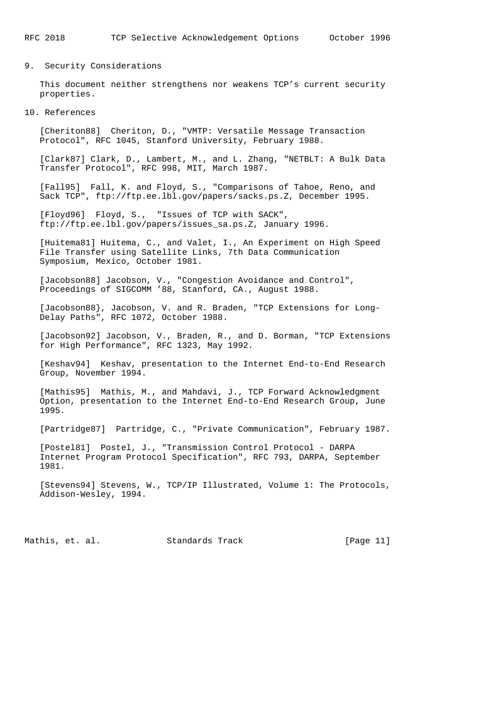## 9. Security Considerations

 This document neither strengthens nor weakens TCP's current security properties.

#### 10. References

 [Cheriton88] Cheriton, D., "VMTP: Versatile Message Transaction Protocol", RFC 1045, Stanford University, February 1988.

 [Clark87] Clark, D., Lambert, M., and L. Zhang, "NETBLT: A Bulk Data Transfer Protocol", RFC 998, MIT, March 1987.

 [Fall95] Fall, K. and Floyd, S., "Comparisons of Tahoe, Reno, and Sack TCP", ftp://ftp.ee.lbl.gov/papers/sacks.ps.Z, December 1995.

 [Floyd96] Floyd, S., "Issues of TCP with SACK", ftp://ftp.ee.lbl.gov/papers/issues\_sa.ps.Z, January 1996.

 [Huitema81] Huitema, C., and Valet, I., An Experiment on High Speed File Transfer using Satellite Links, 7th Data Communication Symposium, Mexico, October 1981.

 [Jacobson88] Jacobson, V., "Congestion Avoidance and Control", Proceedings of SIGCOMM '88, Stanford, CA., August 1988.

 [Jacobson88}, Jacobson, V. and R. Braden, "TCP Extensions for Long- Delay Paths", RFC 1072, October 1988.

 [Jacobson92] Jacobson, V., Braden, R., and D. Borman, "TCP Extensions for High Performance", RFC 1323, May 1992.

 [Keshav94] Keshav, presentation to the Internet End-to-End Research Group, November 1994.

 [Mathis95] Mathis, M., and Mahdavi, J., TCP Forward Acknowledgment Option, presentation to the Internet End-to-End Research Group, June 1995.

[Partridge87] Partridge, C., "Private Communication", February 1987.

 [Postel81] Postel, J., "Transmission Control Protocol - DARPA Internet Program Protocol Specification", RFC 793, DARPA, September 1981.

 [Stevens94] Stevens, W., TCP/IP Illustrated, Volume 1: The Protocols, Addison-Wesley, 1994.

Mathis, et. al. Standards Track [Page 11]